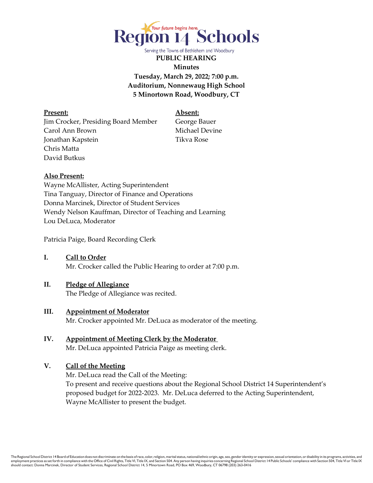

Serving the Towns of Bethlehem and Woodbury

**PUBLIC HEARING Minutes Tuesday, March 29, 2022; 7:00 p.m. Auditorium, Nonnewaug High School 5 Minortown Road, Woodbury, CT** 

**Present: Absent:** Jim Crocker, Presiding Board Member George Bauer Carol Ann Brown Michael Devine Jonathan Kapstein Tikva Rose Chris Matta David Butkus

#### **Also Present:**

Wayne McAllister, Acting Superintendent Tina Tanguay, Director of Finance and Operations Donna Marcinek, Director of Student Services Wendy Nelson Kauffman, Director of Teaching and Learning Lou DeLuca, Moderator

Patricia Paige, Board Recording Clerk

**I. Call to Order** Mr. Crocker called the Public Hearing to order at 7:00 p.m.

# **II. Pledge of Allegiance**

The Pledge of Allegiance was recited.

- **III. Appointment of Moderator** Mr. Crocker appointed Mr. DeLuca as moderator of the meeting.
- **IV. Appointment of Meeting Clerk by the Moderator** Mr. DeLuca appointed Patricia Paige as meeting clerk.

#### **V. Call of the Meeting**

Mr. DeLuca read the Call of the Meeting: To present and receive questions about the Regional School District 14 Superintendent's proposed budget for 2022-2023. Mr. DeLuca deferred to the Acting Superintendent, Wayne McAllister to present the budget.